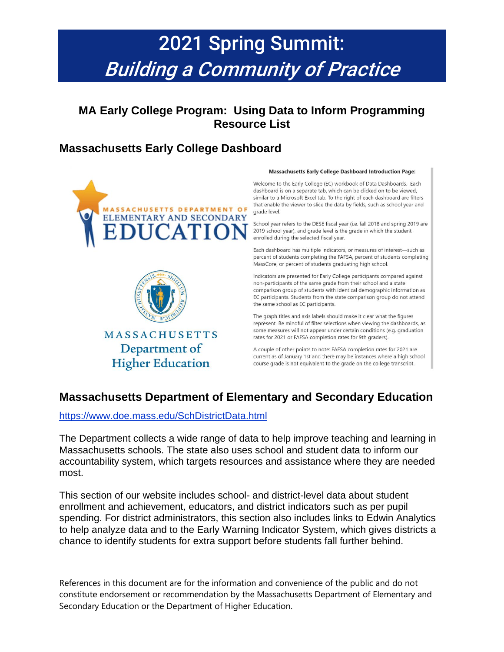# 2021 Spring Summit: Building a Community of Practice

### **MA Early College Program: Using Data to Inform Programming Resource List**

# **Massachusetts Early College Dashboard**





**MASSACHUSETTS** Department of **Higher Education** 

#### Massachusetts Early College Dashboard Introduction Page:

Welcome to the Early College (EC) workbook of Data Dashboards. Each dashboard is on a separate tab, which can be clicked on to be viewed, similar to a Microsoft Excel tab. To the right of each dashboard are filters that enable the viewer to slice the data by fields, such as school year and grade level.

School year refers to the DESE fiscal year (i.e. fall 2018 and spring 2019 are 2019 school year), and grade level is the grade in which the student enrolled during the selected fiscal year.

Each dashboard has multiple indicators, or measures of interest-such as percent of students completing the FAFSA, percent of students completing MassCore, or percent of students graduating high school.

Indicators are presented for Early College participants compared against non-participants of the same grade from their school and a state comparison group of students with identical demographic information as EC participants. Students from the state comparison group do not attend the same school as EC participants.

The graph titles and axis labels should make it clear what the figures represent. Be mindful of filter selections when viewing the dashboards, as some measures will not appear under certain conditions (e.g. graduation rates for 2021 or FAFSA completion rates for 9th graders).

A couple of other points to note: FAFSA completion rates for 2021 are current as of January 1st and there may be instances where a high school course grade is not equivalent to the grade on the college transcript.

### **Massachusetts Department of Elementary and Secondary Education**

<https://www.doe.mass.edu/SchDistrictData.html>

The Department collects a wide range of data to help improve teaching and learning in Massachusetts schools. The state also uses school and student data to inform our accountability system, which targets resources and assistance where they are needed most.

This section of our website includes school- and district-level data about student enrollment and achievement, educators, and district indicators such as per pupil spending. For district administrators, this section also includes links to Edwin Analytics to help analyze data and to the Early Warning Indicator System, which gives districts a chance to identify students for extra support before students fall further behind.

References in this document are for the information and convenience of the public and do not constitute endorsement or recommendation by the Massachusetts Department of Elementary and Secondary Education or the Department of Higher Education.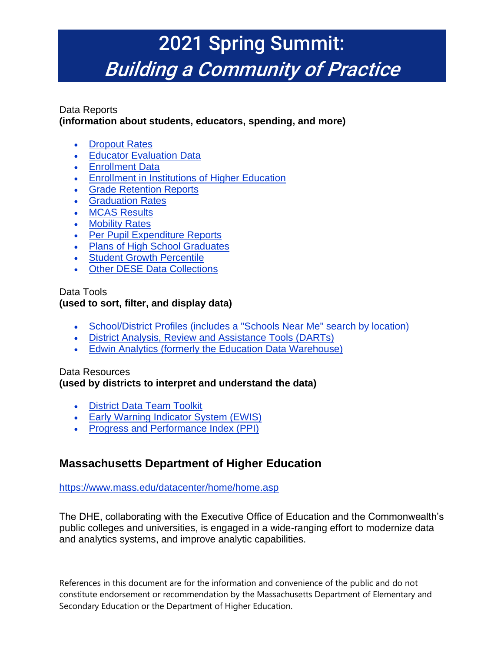# 2021 Spring Summit: Building a Community of Practice

#### Data Reports **(information about students, educators, spending, and more)**

- [Dropout Rates](https://www.doe.mass.edu/infoservices/reports/dropout/)
- [Educator Evaluation Data](https://www.doe.mass.edu/infoservices/reports/edeval/)
- [Enrollment Data](https://www.doe.mass.edu/infoservices/reports/enroll/)
- **[Enrollment in Institutions of Higher Education](https://www.doe.mass.edu/infoservices/reports/enroll_ihe/)**
- [Grade Retention Reports](https://www.doe.mass.edu/infoservices/reports/retention/)
- [Graduation Rates](https://www.doe.mass.edu/infoservices/reports/gradrates/)
- [MCAS Results](https://www.doe.mass.edu/mcas/results.html)
- [Mobility Rates](https://www.doe.mass.edu/infoservices/reports/mobility/)
- [Per Pupil Expenditure Reports](https://www.doe.mass.edu/finance/statistics/)
- [Plans of High School Graduates](https://www.doe.mass.edu/infoservices/reports/hsg/)
- [Student Growth Percentile](https://www.doe.mass.edu/mcas/growth/)
- [Other DESE Data Collections](https://www.doe.mass.edu/infoservices/data/)

#### Data Tools

#### **(used to sort, filter, and display data)**

- [School/District Profiles \(includes a "Schools Near Me" search by location\)](http://profiles.doe.mass.edu/)
- [District Analysis, Review and Assistance Tools \(DARTs\)](https://www.doe.mass.edu/dart/)
- [Edwin Analytics \(formerly the Education Data Warehouse\)](https://www.doe.mass.edu/edwin/)

### Data Resources

#### **(used by districts to interpret and understand the data)**

- [District Data Team Toolkit](https://www.doe.mass.edu/accountability/toolkit/)
- [Early Warning Indicator System \(EWIS\)](https://www.doe.mass.edu/ccte/ccr/ewis/)
- [Progress and Performance Index \(PPI\)](https://www.doe.mass.edu/accountability/lists-tools/school-leaders-guide.docx)

### **Massachusetts Department of Higher Education**

#### <https://www.mass.edu/datacenter/home/home.asp>

The DHE, collaborating with the Executive Office of Education and the Commonwealth's public colleges and universities, is engaged in a wide-ranging effort to modernize data and analytics systems, and improve analytic capabilities.

References in this document are for the information and convenience of the public and do not constitute endorsement or recommendation by the Massachusetts Department of Elementary and Secondary Education or the Department of Higher Education.